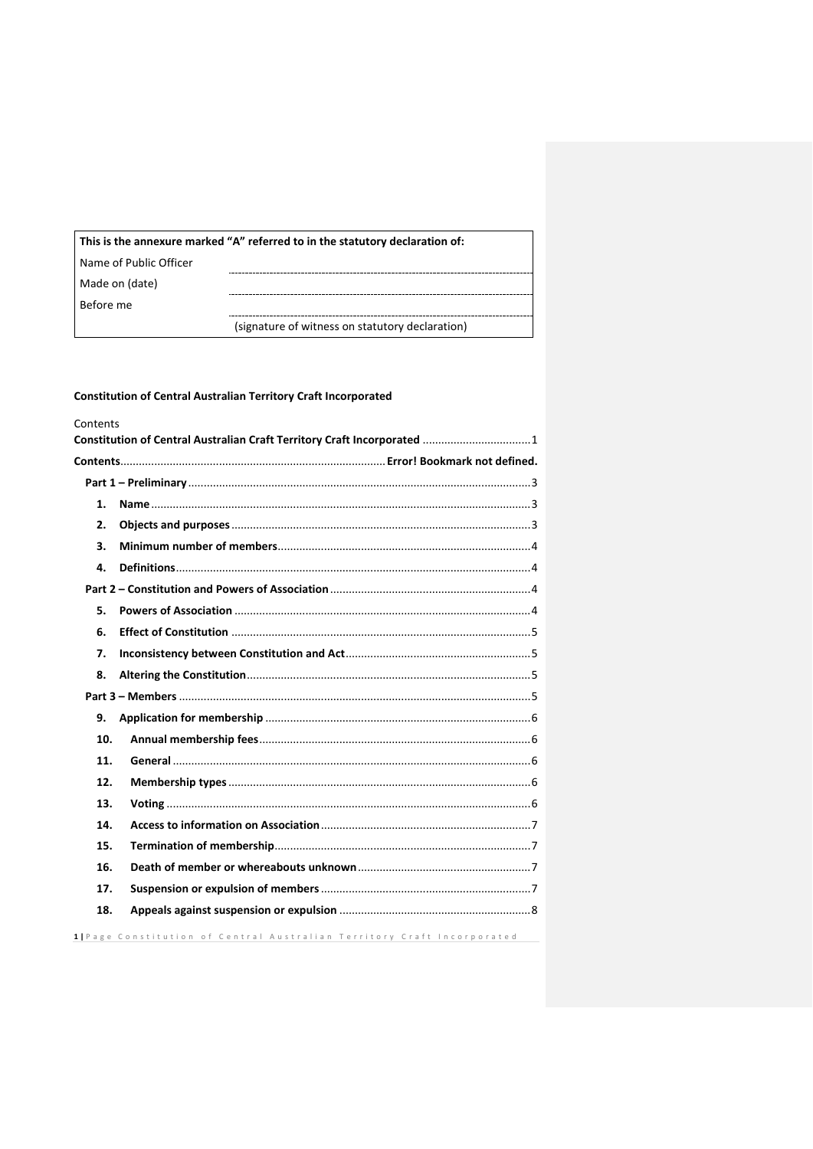| This is the annexure marked "A" referred to in the statutory declaration of: |                                                 |  |
|------------------------------------------------------------------------------|-------------------------------------------------|--|
| Name of Public Officer                                                       |                                                 |  |
| Made on (date)                                                               |                                                 |  |
| Before me                                                                    |                                                 |  |
|                                                                              | (signature of witness on statutory declaration) |  |

<span id="page-0-0"></span>

| Contents |                                                                          |
|----------|--------------------------------------------------------------------------|
|          | Constitution of Central Australian Craft Territory Craft Incorporated 1  |
|          |                                                                          |
|          |                                                                          |
| 1.       |                                                                          |
| 2.       |                                                                          |
| 3.       |                                                                          |
| 4.       |                                                                          |
|          |                                                                          |
| 5.       |                                                                          |
| 6.       |                                                                          |
| 7.       |                                                                          |
| 8.       |                                                                          |
|          |                                                                          |
| 9.       |                                                                          |
| 10.      |                                                                          |
| 11.      |                                                                          |
| 12.      |                                                                          |
| 13.      |                                                                          |
| 14.      |                                                                          |
| 15.      |                                                                          |
| 16.      |                                                                          |
| 17.      |                                                                          |
| 18.      |                                                                          |
|          | 1   Page Constitution of Central Australian Territory Craft Incorporated |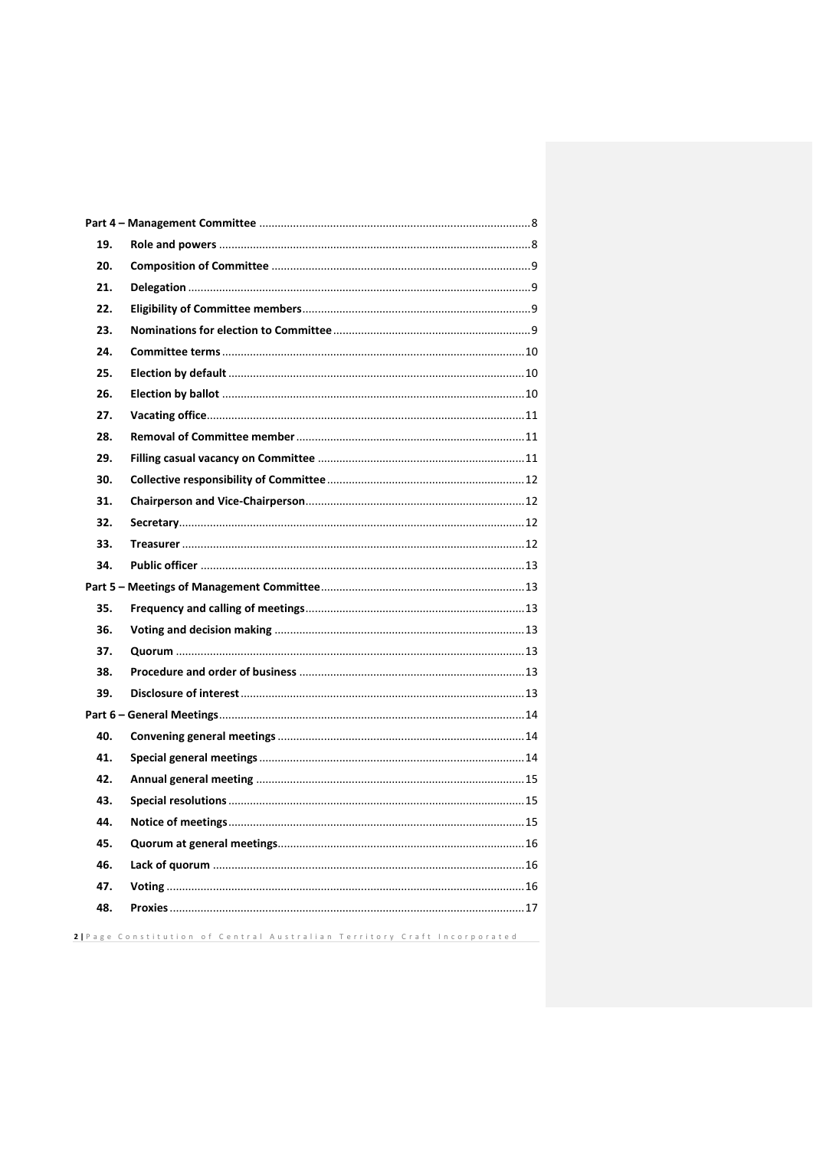| 19. |                                                                          |
|-----|--------------------------------------------------------------------------|
| 20. |                                                                          |
| 21. |                                                                          |
| 22. |                                                                          |
| 23. |                                                                          |
| 24. |                                                                          |
| 25. |                                                                          |
| 26. |                                                                          |
| 27. |                                                                          |
| 28. |                                                                          |
| 29. |                                                                          |
| 30. |                                                                          |
| 31. |                                                                          |
| 32. |                                                                          |
| 33. |                                                                          |
| 34. |                                                                          |
|     |                                                                          |
| 35. |                                                                          |
| 36. |                                                                          |
| 37. |                                                                          |
| 38. |                                                                          |
| 39. |                                                                          |
|     |                                                                          |
| 40. |                                                                          |
| 41. |                                                                          |
| 42. |                                                                          |
| 43. |                                                                          |
| 44. |                                                                          |
| 45. |                                                                          |
| 46. |                                                                          |
| 47. |                                                                          |
| 48. |                                                                          |
|     | 2   Page Constitution of Central Australian Territory Craft Incorporated |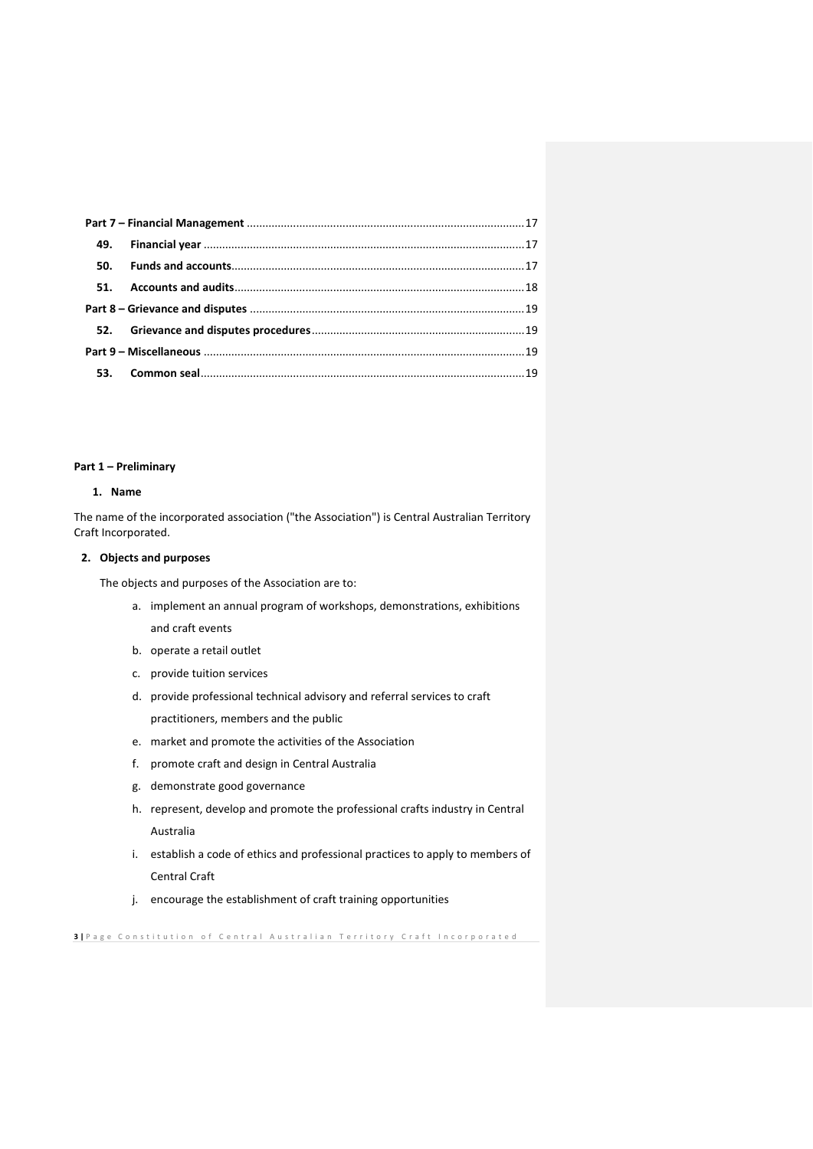| 50. |  |
|-----|--|
|     |  |
|     |  |
|     |  |
|     |  |
|     |  |
|     |  |

#### <span id="page-2-0"></span>**Part 1 – Preliminary**

## <span id="page-2-1"></span>**1. Name**

The name of the incorporated association ("the Association") is Central Australian Territory Craft Incorporated.

## <span id="page-2-2"></span>**2. Objects and purposes**

The objects and purposes of the Association are to:

- a. implement an annual program of workshops, demonstrations, exhibitions and craft events
- b. operate a retail outlet
- c. provide tuition services
- d. provide professional technical advisory and referral services to craft practitioners, members and the public
- e. market and promote the activities of the Association
- f. promote craft and design in Central Australia
- g. demonstrate good governance
- h. represent, develop and promote the professional crafts industry in Central Australia
- i. establish a code of ethics and professional practices to apply to members of Central Craft
- j. encourage the establishment of craft training opportunities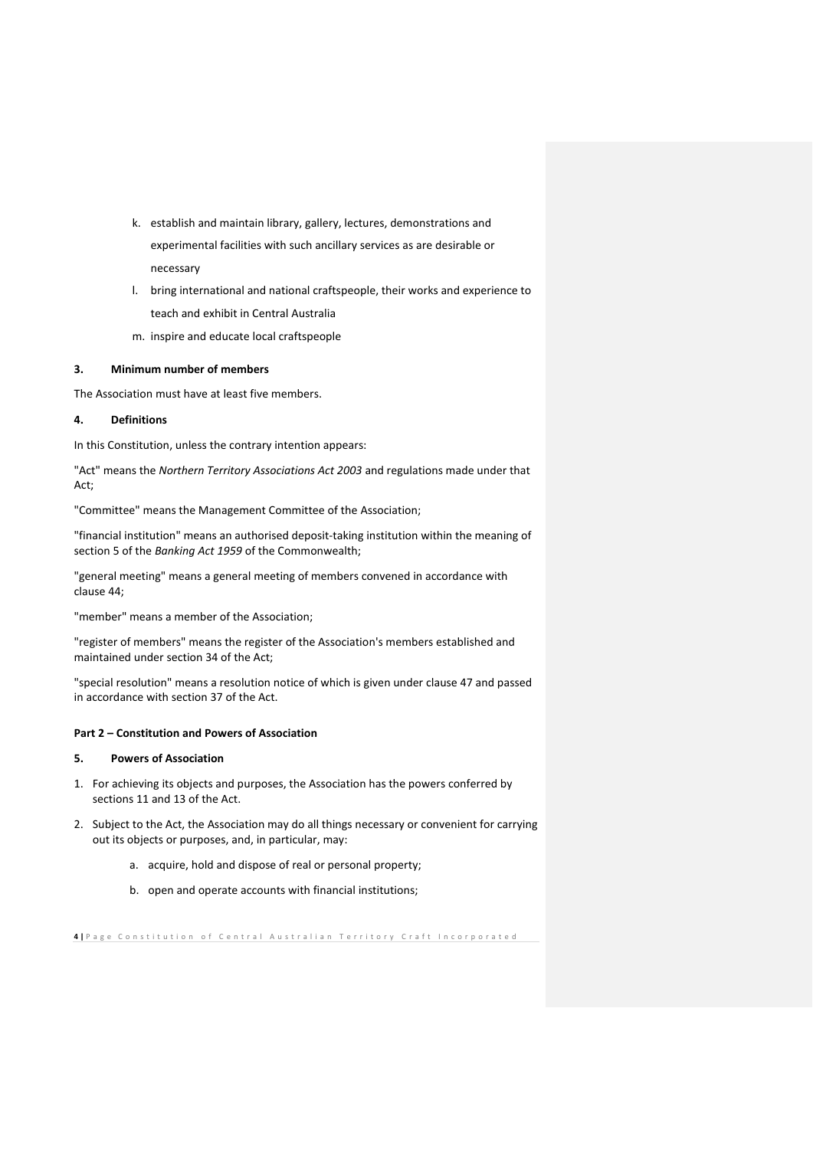- k. establish and maintain library, gallery, lectures, demonstrations and experimental facilities with such ancillary services as are desirable or necessary
- l. bring international and national craftspeople, their works and experience to teach and exhibit in Central Australia
- m. inspire and educate local craftspeople

### <span id="page-3-0"></span>**3. Minimum number of members**

The Association must have at least five members.

#### <span id="page-3-1"></span>**4. Definitions**

In this Constitution, unless the contrary intention appears:

"Act" means the *Northern Territory Associations Act 2003* and regulations made under that Act;

"Committee" means the Management Committee of the Association;

"financial institution" means an authorised deposit-taking institution within the meaning of section 5 of the *Banking Act 1959* of the Commonwealth;

"general meeting" means a general meeting of members convened in accordance with clause 44;

"member" means a member of the Association;

"register of members" means the register of the Association's members established and maintained under section 34 of the Act;

"special resolution" means a resolution notice of which is given under clause 47 and passed in accordance with section 37 of the Act.

### <span id="page-3-2"></span>**Part 2 – Constitution and Powers of Association**

### <span id="page-3-3"></span>**5. Powers of Association**

- 1. For achieving its objects and purposes, the Association has the powers conferred by sections 11 and 13 of the Act.
- 2. Subject to the Act, the Association may do all things necessary or convenient for carrying out its objects or purposes, and, in particular, may:
	- a. acquire, hold and dispose of real or personal property;
	- b. open and operate accounts with financial institutions;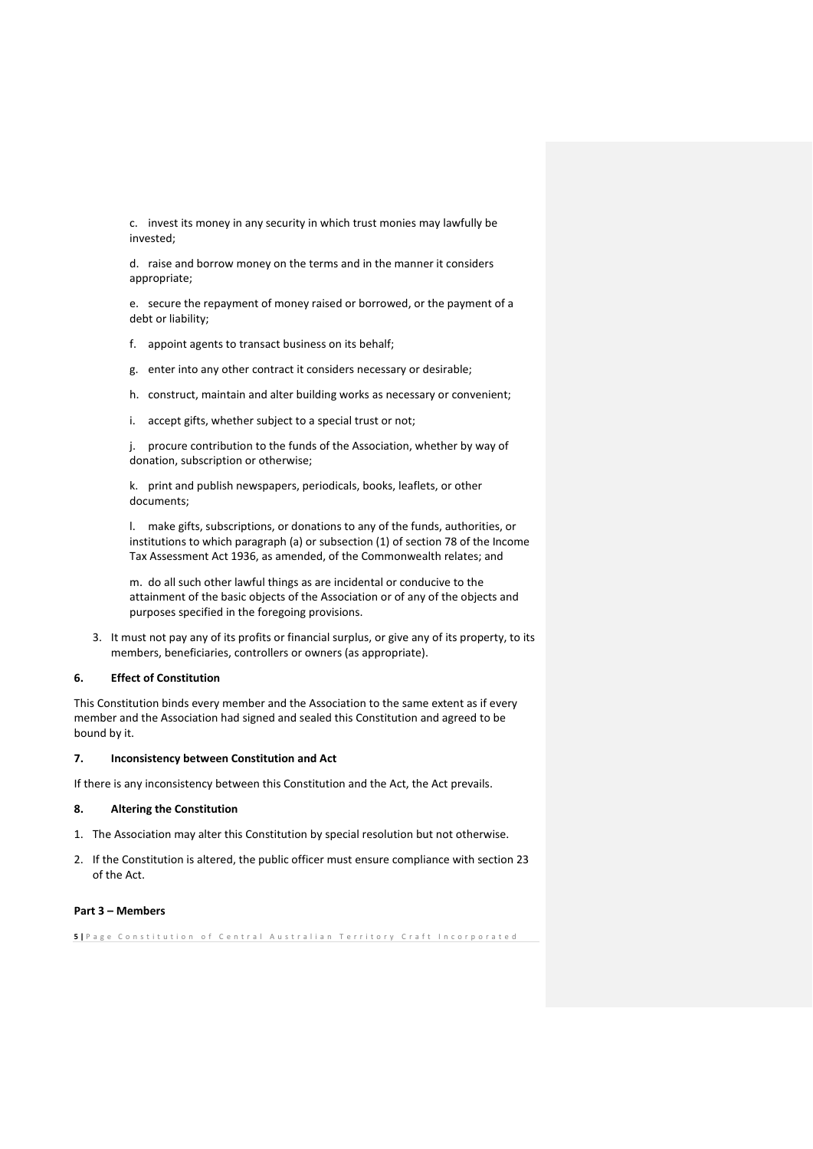c. invest its money in any security in which trust monies may lawfully be invested;

d. raise and borrow money on the terms and in the manner it considers appropriate;

e. secure the repayment of money raised or borrowed, or the payment of a debt or liability;

f. appoint agents to transact business on its behalf;

g. enter into any other contract it considers necessary or desirable;

h. construct, maintain and alter building works as necessary or convenient;

i. accept gifts, whether subject to a special trust or not;

j. procure contribution to the funds of the Association, whether by way of donation, subscription or otherwise;

k. print and publish newspapers, periodicals, books, leaflets, or other documents;

l. make gifts, subscriptions, or donations to any of the funds, authorities, or institutions to which paragraph (a) or subsection (1) of section 78 of the Income Tax Assessment Act 1936, as amended, of the Commonwealth relates; and

m. do all such other lawful things as are incidental or conducive to the attainment of the basic objects of the Association or of any of the objects and purposes specified in the foregoing provisions.

3. It must not pay any of its profits or financial surplus, or give any of its property, to its members, beneficiaries, controllers or owners (as appropriate).

### <span id="page-4-0"></span>**6. Effect of Constitution**

This Constitution binds every member and the Association to the same extent as if every member and the Association had signed and sealed this Constitution and agreed to be bound by it.

### <span id="page-4-1"></span>**7. Inconsistency between Constitution and Act**

If there is any inconsistency between this Constitution and the Act, the Act prevails.

## <span id="page-4-2"></span>**8. Altering the Constitution**

- 1. The Association may alter this Constitution by special resolution but not otherwise.
- 2. If the Constitution is altered, the public officer must ensure compliance with section 23 of the Act.

#### <span id="page-4-3"></span>**Part 3 – Members**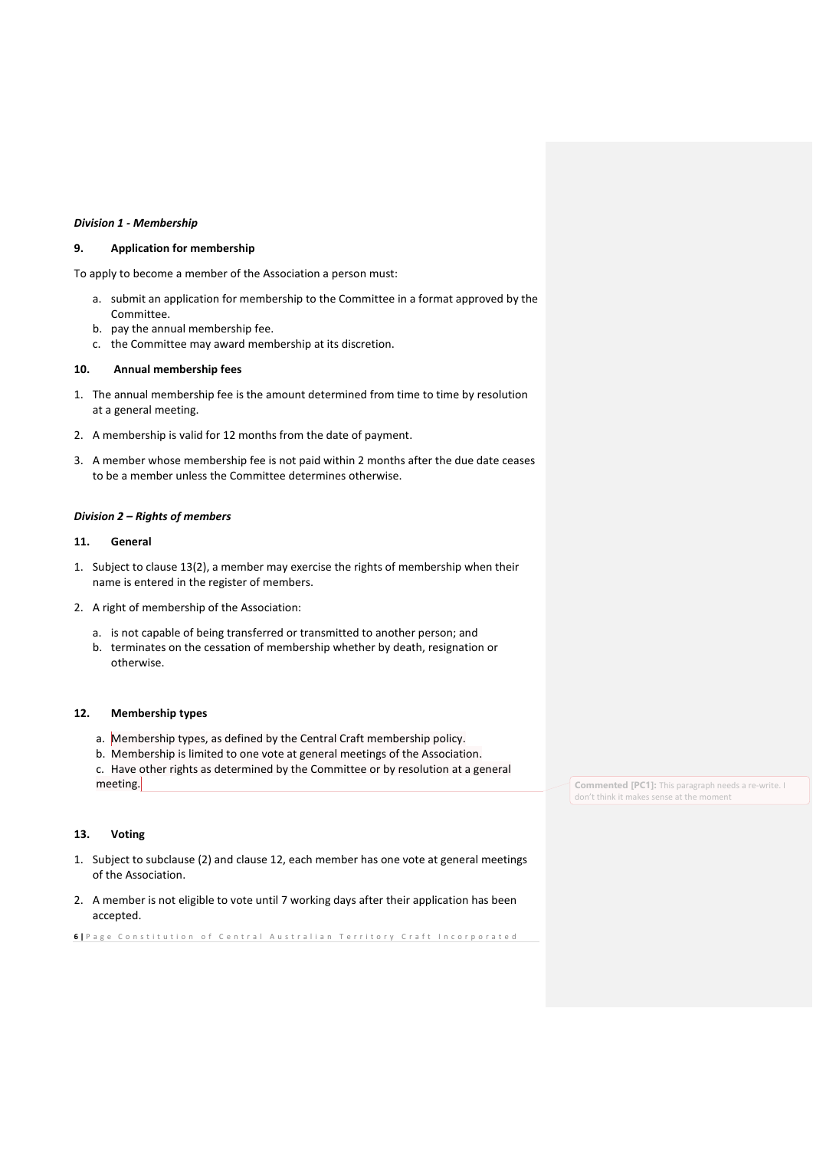### *Division 1 - Membership*

## <span id="page-5-0"></span>**9. Application for membership**

To apply to become a member of the Association a person must:

- a. submit an application for membership to the Committee in a format approved by the Committee.
- b. pay the annual membership fee.
- <span id="page-5-1"></span>c. the Committee may award membership at its discretion.

### **10. Annual membership fees**

- 1. The annual membership fee is the amount determined from time to time by resolution at a general meeting.
- 2. A membership is valid for 12 months from the date of payment.
- 3. A member whose membership fee is not paid within 2 months after the due date ceases to be a member unless the Committee determines otherwise.

### *Division 2 – Rights of members*

#### <span id="page-5-2"></span>**11. General**

- 1. Subject to clause 13(2), a member may exercise the rights of membership when their name is entered in the register of members.
- 2. A right of membership of the Association:
	- a. is not capable of being transferred or transmitted to another person; and
	- b. terminates on the cessation of membership whether by death, resignation or otherwise.

### <span id="page-5-3"></span>**12. Membership types**

- a. Membership types, as defined by the Central Craft membership policy.
- b. Membership is limited to one vote at general meetings of the Association. c. Have other rights as determined by the Committee or by resolution at a general meeting.

## <span id="page-5-4"></span>**13. Voting**

- 1. Subject to subclause (2) and clause 12, each member has one vote at general meetings of the Association.
- 2. A member is not eligible to vote until 7 working days after their application has been accepted.

**6** | Page Constitution of Central Australian Territory Craft Incorporated

**Commented [PC1]:** This paragraph needs a re-write. I don't think it makes sense at the moment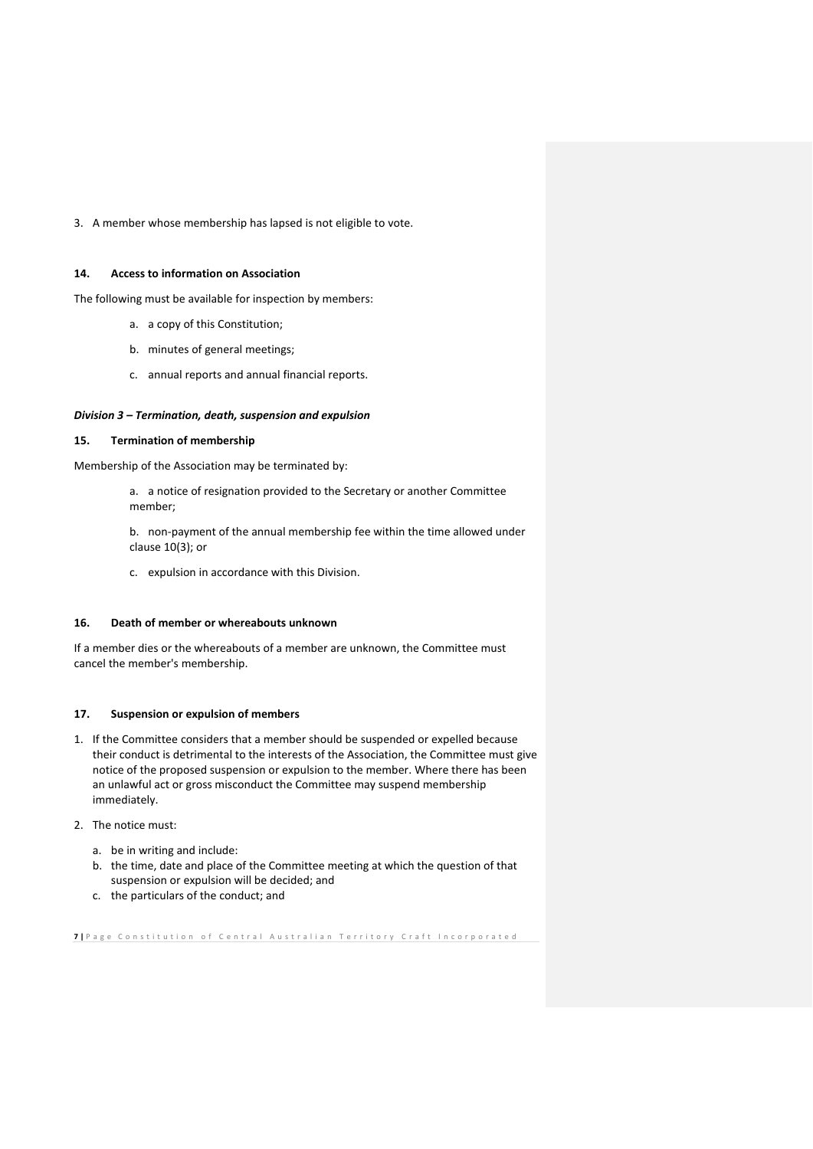3. A member whose membership has lapsed is not eligible to vote.

### <span id="page-6-0"></span>**14. Access to information on Association**

The following must be available for inspection by members:

- a. a copy of this Constitution;
- b. minutes of general meetings;
- c. annual reports and annual financial reports.

### *Division 3 – Termination, death, suspension and expulsion*

## <span id="page-6-1"></span>**15. Termination of membership**

Membership of the Association may be terminated by:

a. a notice of resignation provided to the Secretary or another Committee member;

b. non-payment of the annual membership fee within the time allowed under clause 10(3); or

c. expulsion in accordance with this Division.

### <span id="page-6-2"></span>**16. Death of member or whereabouts unknown**

If a member dies or the whereabouts of a member are unknown, the Committee must cancel the member's membership.

### <span id="page-6-3"></span>**17. Suspension or expulsion of members**

- 1. If the Committee considers that a member should be suspended or expelled because their conduct is detrimental to the interests of the Association, the Committee must give notice of the proposed suspension or expulsion to the member. Where there has been an unlawful act or gross misconduct the Committee may suspend membership immediately.
- 2. The notice must:
	- a. be in writing and include:
	- b. the time, date and place of the Committee meeting at which the question of that suspension or expulsion will be decided; and
	- c. the particulars of the conduct; and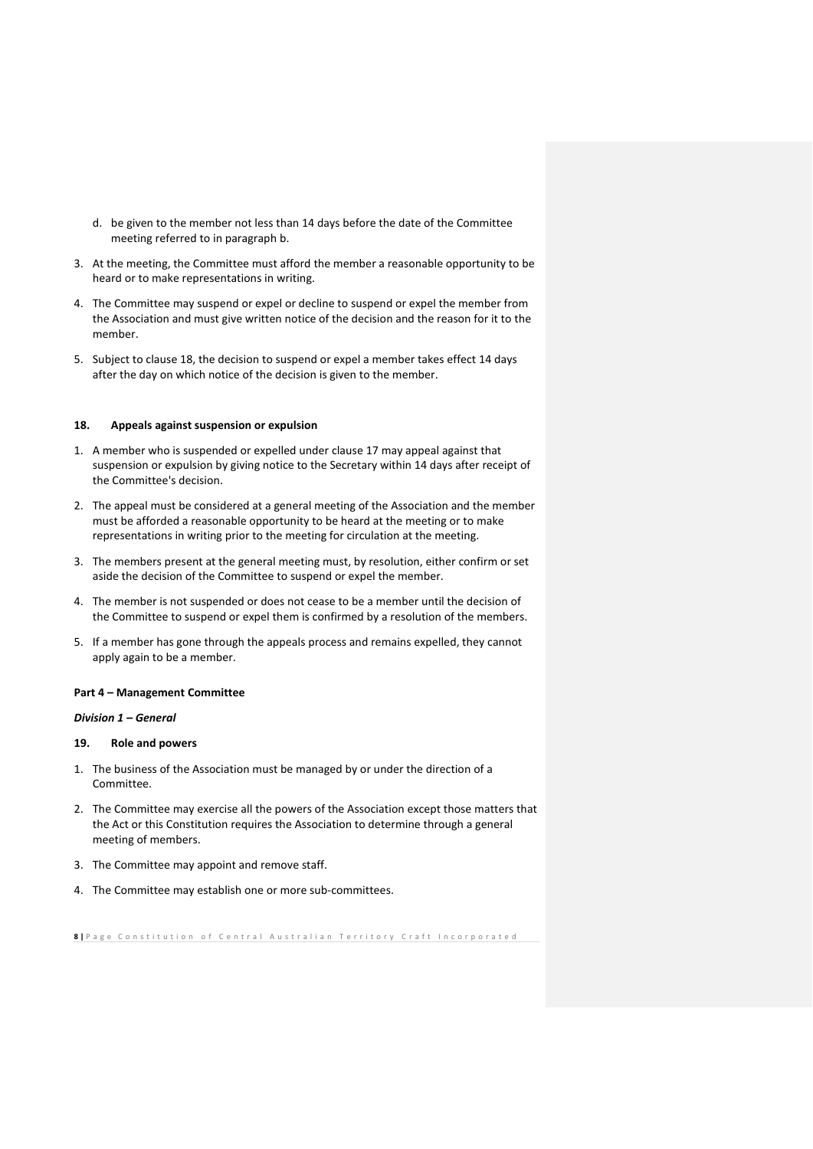- d. be given to the member not less than 14 days before the date of the Committee meeting referred to in paragraph b.
- 3. At the meeting, the Committee must afford the member a reasonable opportunity to be heard or to make representations in writing.
- 4. The Committee may suspend or expel or decline to suspend or expel the member from the Association and must give written notice of the decision and the reason for it to the member.
- 5. Subject to clause 18, the decision to suspend or expel a member takes effect 14 days after the day on which notice of the decision is given to the member.

### <span id="page-7-0"></span>**18. Appeals against suspension or expulsion**

- 1. A member who is suspended or expelled under clause 17 may appeal against that suspension or expulsion by giving notice to the Secretary within 14 days after receipt of the Committee's decision.
- 2. The appeal must be considered at a general meeting of the Association and the member must be afforded a reasonable opportunity to be heard at the meeting or to make representations in writing prior to the meeting for circulation at the meeting.
- 3. The members present at the general meeting must, by resolution, either confirm or set aside the decision of the Committee to suspend or expel the member.
- 4. The member is not suspended or does not cease to be a member until the decision of the Committee to suspend or expel them is confirmed by a resolution of the members.
- 5. If a member has gone through the appeals process and remains expelled, they cannot apply again to be a member.

#### <span id="page-7-1"></span>**Part 4 – Management Committee**

*Division 1 – General*

### <span id="page-7-2"></span>**19. Role and powers**

- 1. The business of the Association must be managed by or under the direction of a Committee.
- 2. The Committee may exercise all the powers of the Association except those matters that the Act or this Constitution requires the Association to determine through a general meeting of members.
- 3. The Committee may appoint and remove staff.
- 4. The Committee may establish one or more sub-committees.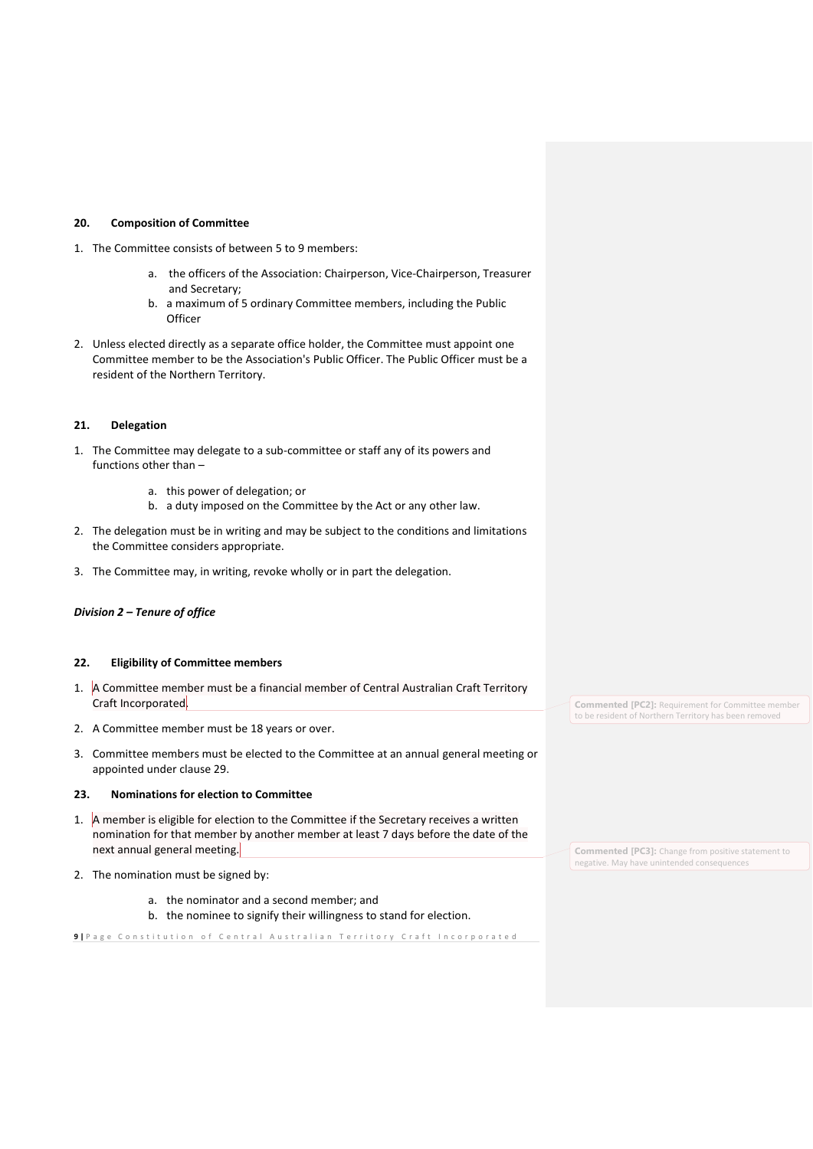### <span id="page-8-0"></span>**20. Composition of Committee**

- 1. The Committee consists of between 5 to 9 members:
	- a. the officers of the Association: Chairperson, Vice-Chairperson, Treasurer and Secretary;
	- b. a maximum of 5 ordinary Committee members, including the Public **Officer**
- 2. Unless elected directly as a separate office holder, the Committee must appoint one Committee member to be the Association's Public Officer. The Public Officer must be a resident of the Northern Territory.

## <span id="page-8-1"></span>**21. Delegation**

- 1. The Committee may delegate to a sub-committee or staff any of its powers and functions other than –
	- a. this power of delegation; or
	- b. a duty imposed on the Committee by the Act or any other law.
- 2. The delegation must be in writing and may be subject to the conditions and limitations the Committee considers appropriate.
- 3. The Committee may, in writing, revoke wholly or in part the delegation.

## *Division 2 – Tenure of office*

## <span id="page-8-2"></span>**22. Eligibility of Committee members**

- 1. A Committee member must be a financial member of Central Australian Craft Territory Craft Incorporated.
- 2. A Committee member must be 18 years or over.
- 3. Committee members must be elected to the Committee at an annual general meeting or appointed under clause 29.

### <span id="page-8-3"></span>**23. Nominations for election to Committee**

- 1. A member is eligible for election to the Committee if the Secretary receives a written nomination for that member by another member at least 7 days before the date of the next annual general meeting.
- 2. The nomination must be signed by:
	- a. the nominator and a second member; and
	- b. the nominee to signify their willingness to stand for election.

9 | Page Constitution of Central Australian Territory Craft Incorporated

**Commented [PC2]:** Requirement for Committee member to be resident of Northern Territory has been removed

**Commented [PC3]:** Change from positive statement to negative. May have unintended consequences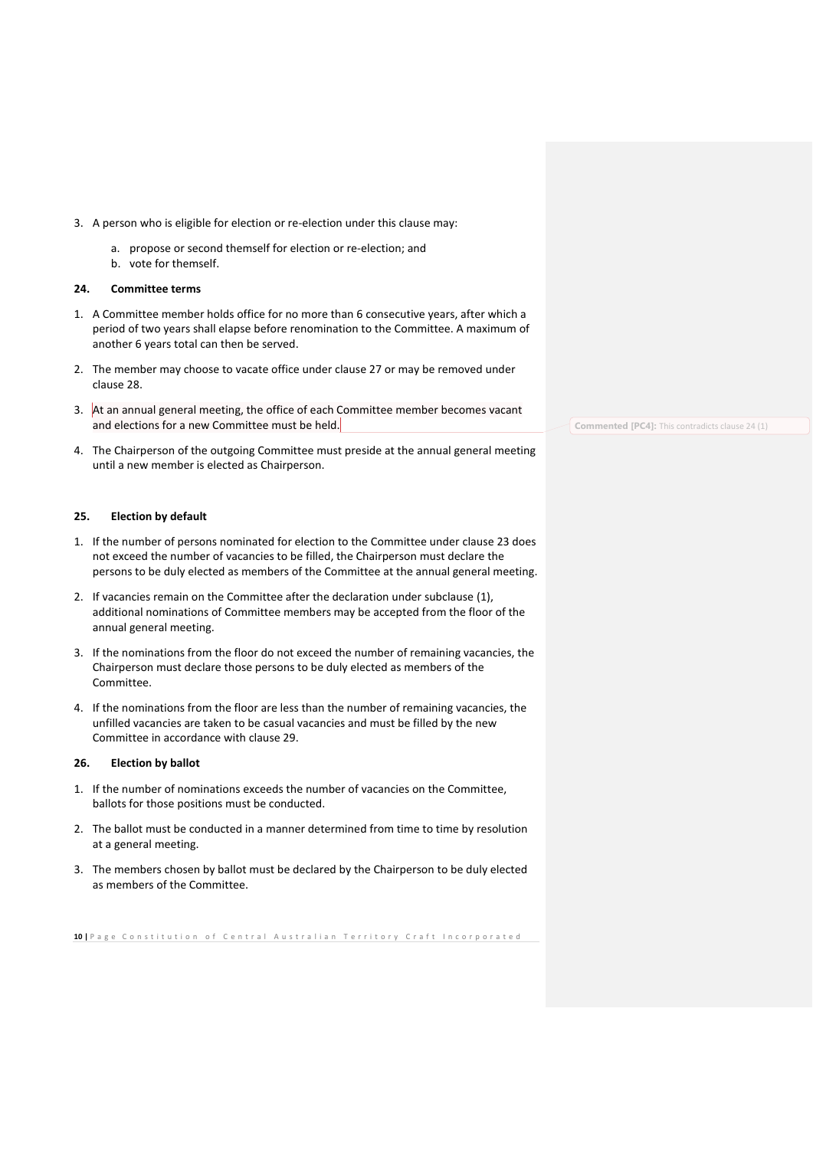- 3. A person who is eligible for election or re-election under this clause may:
	- a. propose or second themself for election or re-election; and
	- b. vote for themself.

## <span id="page-9-0"></span>**24. Committee terms**

- 1. A Committee member holds office for no more than 6 consecutive years, after which a period of two years shall elapse before renomination to the Committee. A maximum of another 6 years total can then be served.
- 2. The member may choose to vacate office under clause 27 or may be removed under clause 28.
- 3. At an annual general meeting, the office of each Committee member becomes vacant and elections for a new Committee must be held.
- 4. The Chairperson of the outgoing Committee must preside at the annual general meeting until a new member is elected as Chairperson.

### <span id="page-9-1"></span>**25. Election by default**

- 1. If the number of persons nominated for election to the Committee under clause 23 does not exceed the number of vacancies to be filled, the Chairperson must declare the persons to be duly elected as members of the Committee at the annual general meeting.
- 2. If vacancies remain on the Committee after the declaration under subclause (1), additional nominations of Committee members may be accepted from the floor of the annual general meeting.
- 3. If the nominations from the floor do not exceed the number of remaining vacancies, the Chairperson must declare those persons to be duly elected as members of the Committee.
- 4. If the nominations from the floor are less than the number of remaining vacancies, the unfilled vacancies are taken to be casual vacancies and must be filled by the new Committee in accordance with clause 29.

#### <span id="page-9-2"></span>**26. Election by ballot**

- 1. If the number of nominations exceeds the number of vacancies on the Committee, ballots for those positions must be conducted.
- 2. The ballot must be conducted in a manner determined from time to time by resolution at a general meeting.
- 3. The members chosen by ballot must be declared by the Chairperson to be duly elected as members of the Committee.

10 | P a g e C on stitution of Central Australian Territory Craft Incorporated

**Commented [PC4]:** This contradicts clause 24 (1)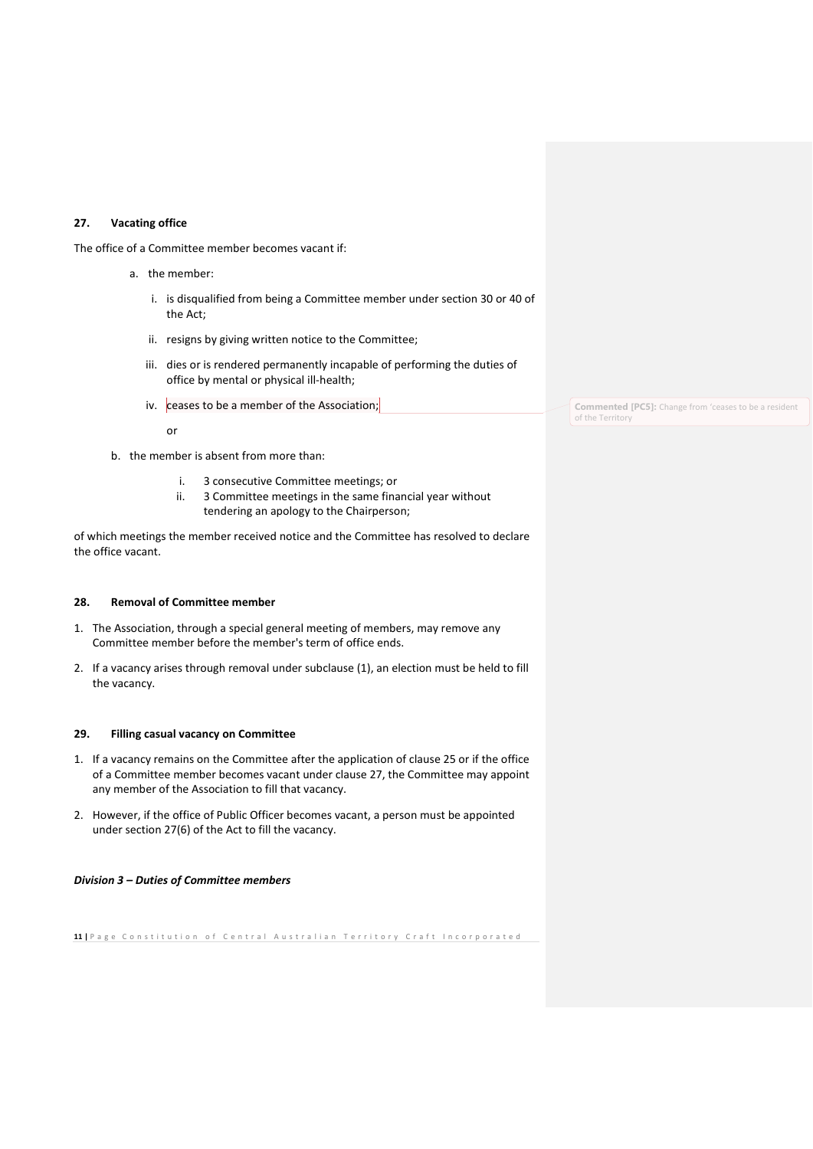### <span id="page-10-0"></span>**27. Vacating office**

The office of a Committee member becomes vacant if:

- a. the member:
	- i. is disqualified from being a Committee member under section 30 or 40 of the Act;
	- ii. resigns by giving written notice to the Committee;
	- iii. dies or is rendered permanently incapable of performing the duties of office by mental or physical ill-health;
	- iv. ceases to be a member of the Association;

or

- b. the member is absent from more than:
	- i. 3 consecutive Committee meetings; or
	- ii. 3 Committee meetings in the same financial year without tendering an apology to the Chairperson;

of which meetings the member received notice and the Committee has resolved to declare the office vacant.

### <span id="page-10-1"></span>**28. Removal of Committee member**

- 1. The Association, through a special general meeting of members, may remove any Committee member before the member's term of office ends.
- 2. If a vacancy arises through removal under subclause (1), an election must be held to fill the vacancy.

#### <span id="page-10-2"></span>**29. Filling casual vacancy on Committee**

- 1. If a vacancy remains on the Committee after the application of clause 25 or if the office of a Committee member becomes vacant under clause 27, the Committee may appoint any member of the Association to fill that vacancy.
- 2. However, if the office of Public Officer becomes vacant, a person must be appointed under section 27(6) of the Act to fill the vacancy.

### *Division 3 – Duties of Committee members*

11 | Page Constitution of Central Australian Territory Craft Incorporated

**Commented [PC5]:** Change from 'ceases to be a resident of the Territory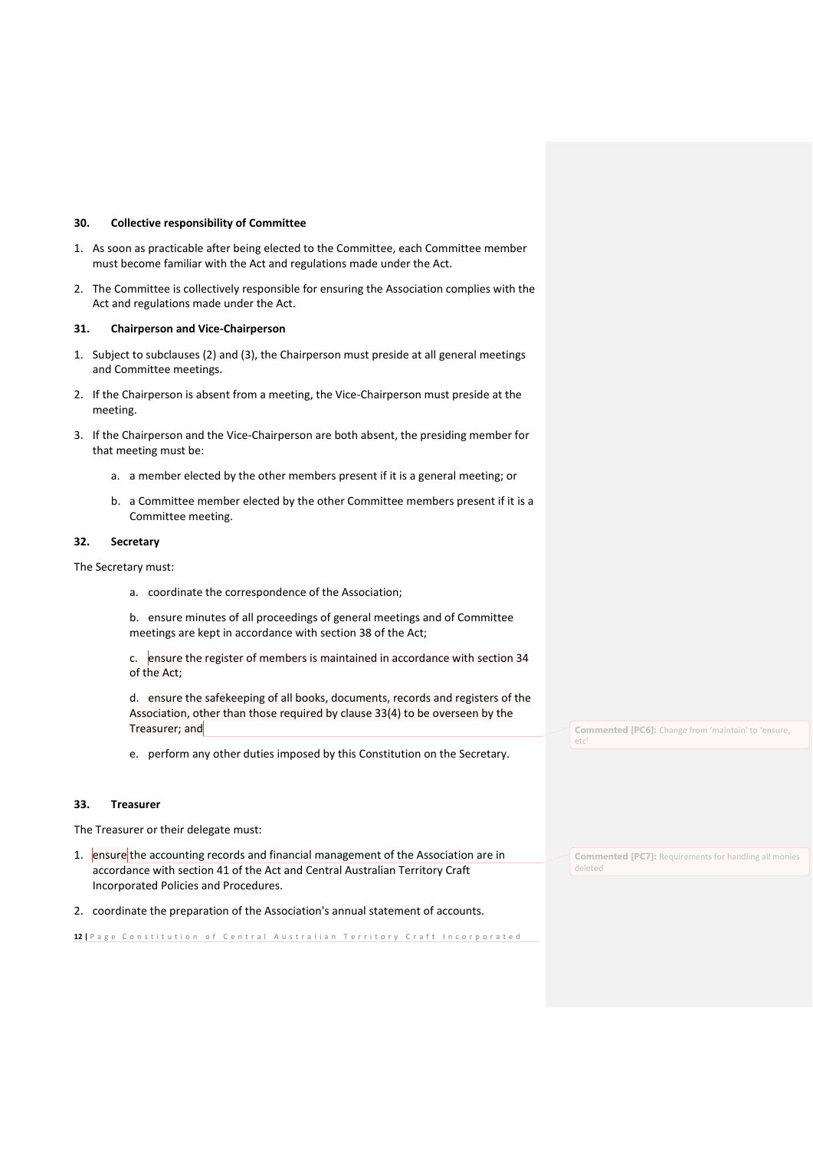### <span id="page-11-0"></span>**30. Collective responsibility of Committee**

- 1. As soon as practicable after being elected to the Committee, each Committee member must become familiar with the Act and regulations made under the Act.
- 2. The Committee is collectively responsible for ensuring the Association complies with the Act and regulations made under the Act.

#### <span id="page-11-1"></span>**31. Chairperson and Vice-Chairperson**

- 1. Subject to subclauses (2) and (3), the Chairperson must preside at all general meetings and Committee meetings.
- 2. If the Chairperson is absent from a meeting, the Vice-Chairperson must preside at the meeting.
- 3. If the Chairperson and the Vice-Chairperson are both absent, the presiding member for that meeting must be:
	- a. a member elected by the other members present if it is a general meeting; or
	- b. a Committee member elected by the other Committee members present if it is a Committee meeting.

#### <span id="page-11-2"></span>**32. Secretary**

The Secretary must:

a. coordinate the correspondence of the Association;

b. ensure minutes of all proceedings of general meetings and of Committee meetings are kept in accordance with section 38 of the Act;

c. ensure the register of members is maintained in accordance with section 34 of the Act;

d. ensure the safekeeping of all books, documents, records and registers of the Association, other than those required by clause 33(4) to be overseen by the Treasurer; and

e. perform any other duties imposed by this Constitution on the Secretary.

#### <span id="page-11-3"></span>**33. Treasurer**

The Treasurer or their delegate must:

- 1. ensure the accounting records and financial management of the Association are in accordance with section 41 of the Act and Central Australian Territory Craft Incorporated Policies and Procedures.
- 2. coordinate the preparation of the Association's annual statement of accounts.

12 | P a g e C on stitution of Central Australian Territory Craft Incorporated

**Commented [PC6]:** Change from 'maintain' to 'ensure, etc'

**Commented [PC7]:** Requirements for handling all monies deleted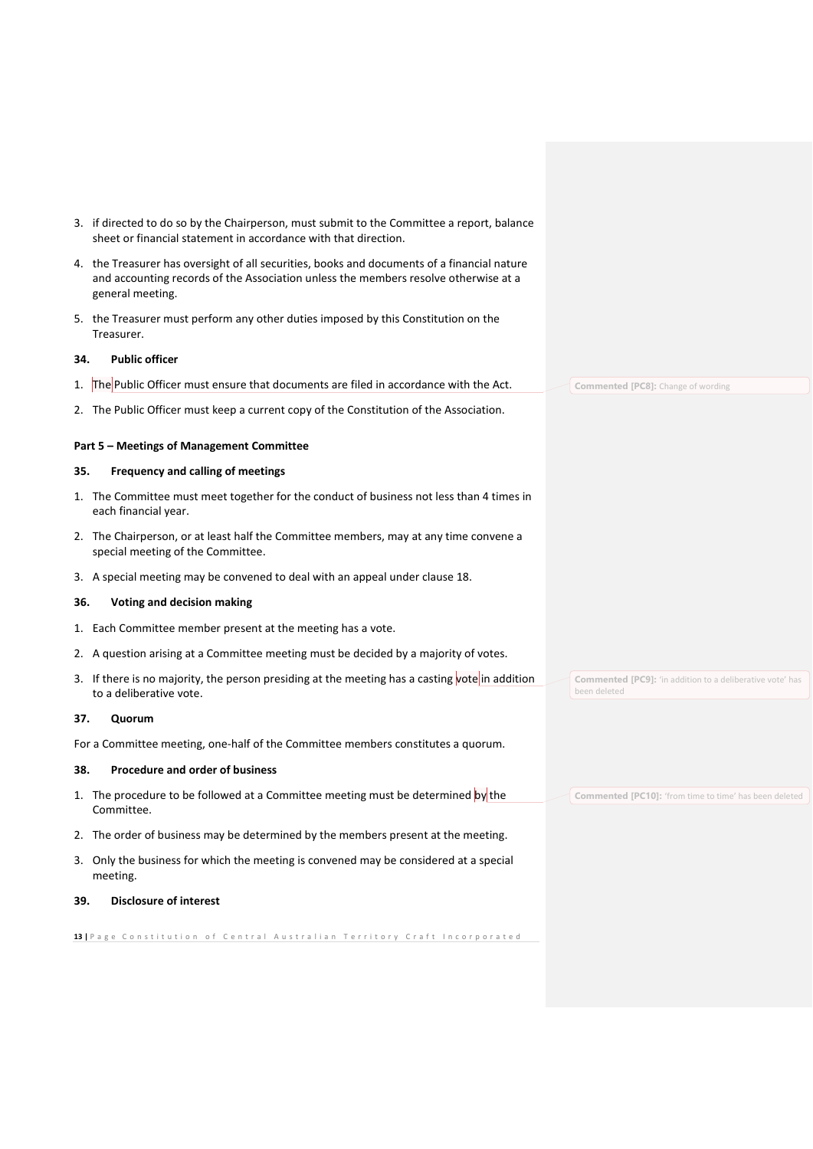- 3. if directed to do so by the Chairperson, must submit to the Committee a report, balance sheet or financial statement in accordance with that direction.
- 4. the Treasurer has oversight of all securities, books and documents of a financial nature and accounting records of the Association unless the members resolve otherwise at a general meeting.
- 5. the Treasurer must perform any other duties imposed by this Constitution on the Treasurer.

#### <span id="page-12-0"></span>**34. Public officer**

- 1. The Public Officer must ensure that documents are filed in accordance with the Act.
- 2. The Public Officer must keep a current copy of the Constitution of the Association.

### <span id="page-12-1"></span>**Part 5 – Meetings of Management Committee**

### <span id="page-12-2"></span>**35. Frequency and calling of meetings**

- 1. The Committee must meet together for the conduct of business not less than 4 times in each financial year.
- 2. The Chairperson, or at least half the Committee members, may at any time convene a special meeting of the Committee.
- 3. A special meeting may be convened to deal with an appeal under clause 18.

### <span id="page-12-3"></span>**36. Voting and decision making**

- 1. Each Committee member present at the meeting has a vote.
- 2. A question arising at a Committee meeting must be decided by a majority of votes.
- 3. If there is no majority, the person presiding at the meeting has a casting vote in addition to a deliberative vote.

#### <span id="page-12-4"></span>**37. Quorum**

For a Committee meeting, one-half of the Committee members constitutes a quorum.

### <span id="page-12-5"></span>**38. Procedure and order of business**

- 1. The procedure to be followed at a Committee meeting must be determined by the Committee.
- 2. The order of business may be determined by the members present at the meeting.
- 3. Only the business for which the meeting is convened may be considered at a special meeting.

## <span id="page-12-6"></span>**39. Disclosure of interest**

13 | P a g e C on stitution of Central Australian Territory Craft Incorporated

**Commented [PC8]:** Change of wording

**Commented [PC9]:** 'in addition to a deliberative vote' has been deleted

**Commented [PC10]:** 'from time to time' has been deleted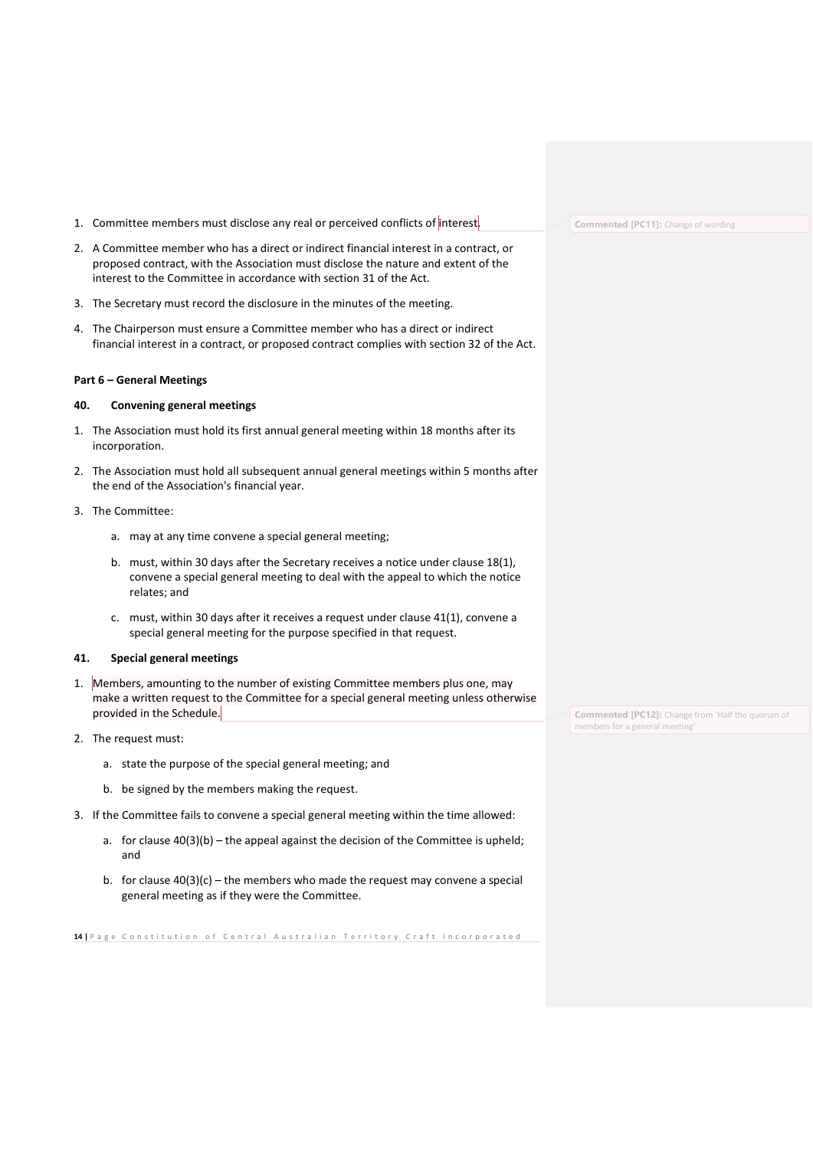1. Committee members must disclose any real or perceived conflicts of interest.

- 2. A Committee member who has a direct or indirect financial interest in a contract, or proposed contract, with the Association must disclose the nature and extent of the interest to the Committee in accordance with section 31 of the Act.
- 3. The Secretary must record the disclosure in the minutes of the meeting.
- 4. The Chairperson must ensure a Committee member who has a direct or indirect financial interest in a contract, or proposed contract complies with section 32 of the Act.

### <span id="page-13-0"></span>**Part 6 – General Meetings**

#### <span id="page-13-1"></span>**40. Convening general meetings**

- 1. The Association must hold its first annual general meeting within 18 months after its incorporation.
- 2. The Association must hold all subsequent annual general meetings within 5 months after the end of the Association's financial year.

#### 3. The Committee:

- a. may at any time convene a special general meeting;
- b. must, within 30 days after the Secretary receives a notice under clause 18(1), convene a special general meeting to deal with the appeal to which the notice relates; and
- c. must, within 30 days after it receives a request under clause 41(1), convene a special general meeting for the purpose specified in that request.

#### <span id="page-13-2"></span>**41. Special general meetings**

- 1. Members, amounting to the number of existing Committee members plus one, may make a written request to the Committee for a special general meeting unless otherwise provided in the Schedule.
- 2. The request must:
	- a. state the purpose of the special general meeting; and
	- b. be signed by the members making the request.
- 3. If the Committee fails to convene a special general meeting within the time allowed:
	- a. for clause 40(3)(b) the appeal against the decision of the Committee is upheld; and
	- b. for clause  $40(3)(c)$  the members who made the request may convene a special general meeting as if they were the Committee.

**14** | Page Constitution of Central Australian Territory Craft Incorporated

**Commented [PC11]:** Change of wording

**Commented [PC12]:** Change from 'Half the quorum of members for a general meeting'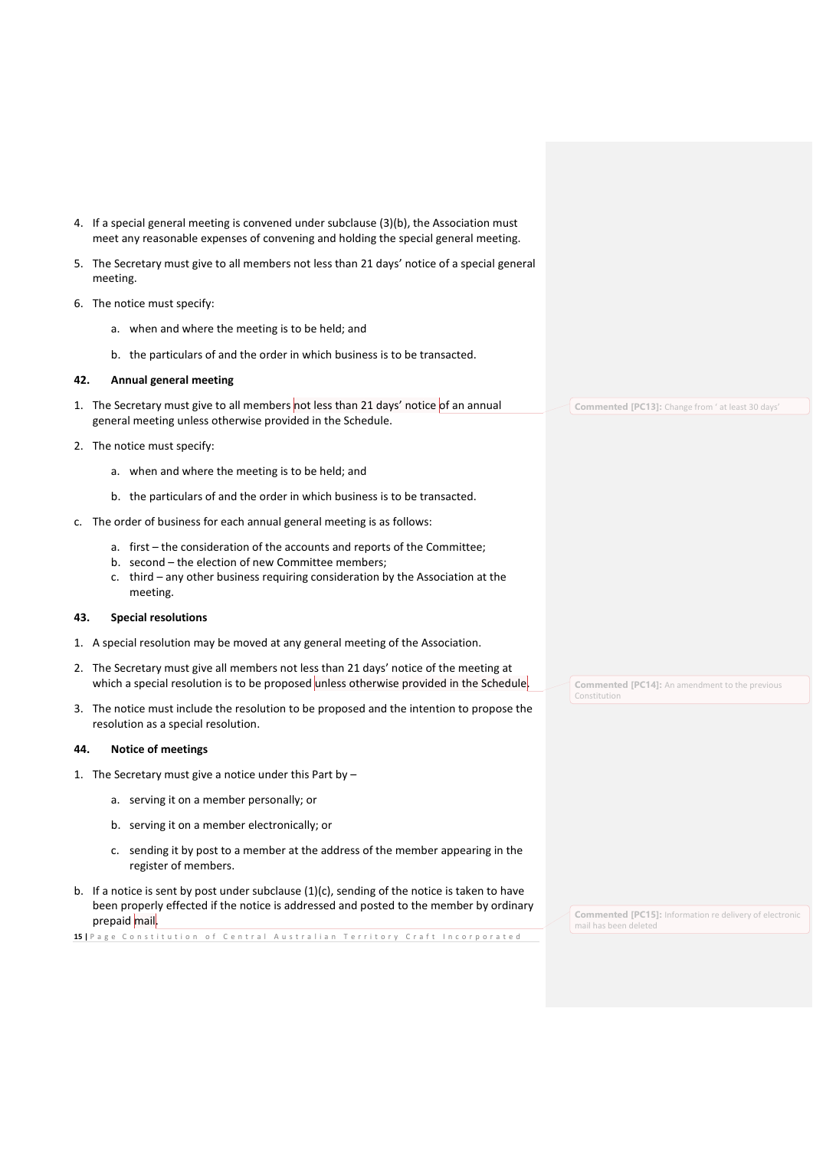- 4. If a special general meeting is convened under subclause (3)(b), the Association must meet any reasonable expenses of convening and holding the special general meeting.
- 5. The Secretary must give to all members not less than 21 days' notice of a special general meeting.
- 6. The notice must specify:
	- a. when and where the meeting is to be held; and
	- b. the particulars of and the order in which business is to be transacted.

### <span id="page-14-0"></span>**42. Annual general meeting**

- 1. The Secretary must give to all members not less than 21 days' notice of an annual general meeting unless otherwise provided in the Schedule.
- 2. The notice must specify:
	- a. when and where the meeting is to be held; and
	- b. the particulars of and the order in which business is to be transacted.
- c. The order of business for each annual general meeting is as follows:
	- a. first the consideration of the accounts and reports of the Committee;
	- b. second the election of new Committee members;
	- c. third any other business requiring consideration by the Association at the meeting.

### <span id="page-14-1"></span>**43. Special resolutions**

- 1. A special resolution may be moved at any general meeting of the Association.
- 2. The Secretary must give all members not less than 21 days' notice of the meeting at which a special resolution is to be proposed unless otherwise provided in the Schedule.
- 3. The notice must include the resolution to be proposed and the intention to propose the resolution as a special resolution.

#### <span id="page-14-2"></span>**44. Notice of meetings**

- 1. The Secretary must give a notice under this Part by
	- a. serving it on a member personally; or
	- b. serving it on a member electronically; or
	- c. sending it by post to a member at the address of the member appearing in the register of members.
- b. If a notice is sent by post under subclause  $(1)(c)$ , sending of the notice is taken to have been properly effected if the notice is addressed and posted to the member by ordinary prepaid mail.

15 | P a g e C on stitution of Central Australian Territory Craft Incorporated

**Commented [PC13]:** Change from ' at least 30 days'

**Commented [PC14]:** An amendment to the previous Constitution

**Commented [PC15]:** Information re delivery of electronic mail has been deleted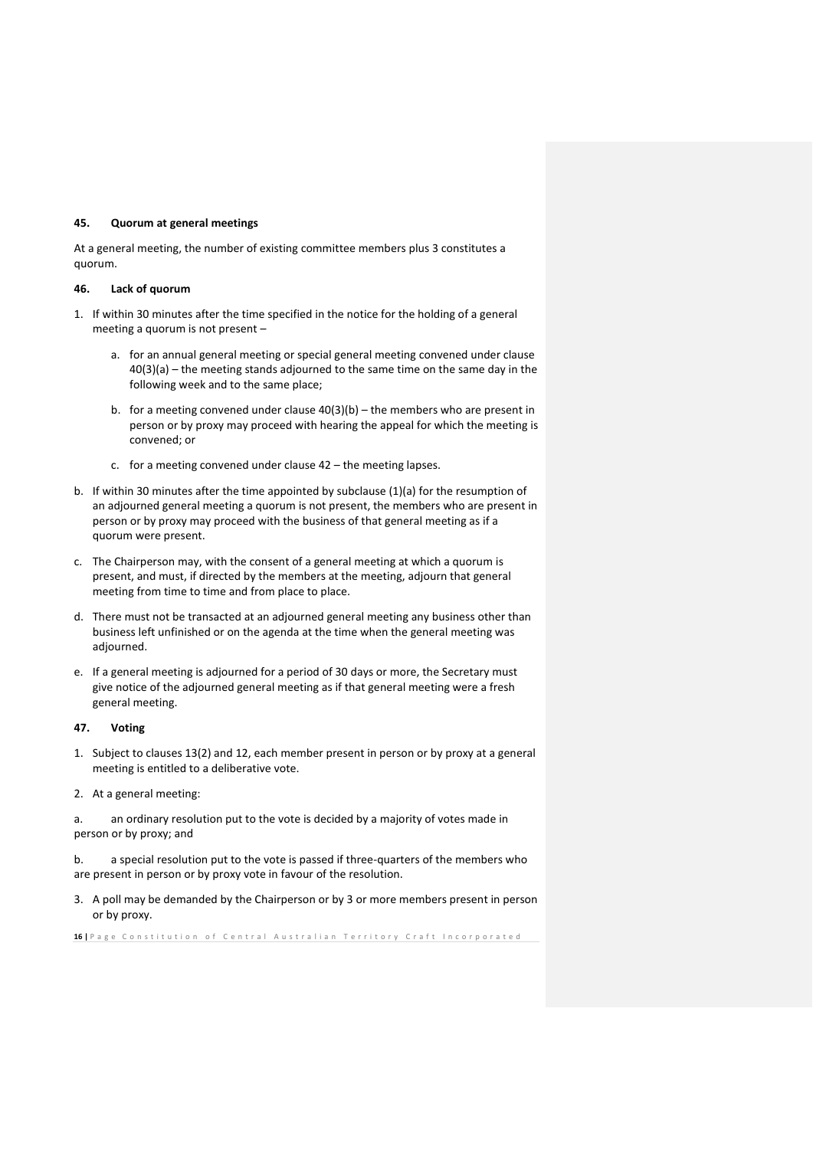### <span id="page-15-0"></span>**45. Quorum at general meetings**

At a general meeting, the number of existing committee members plus 3 constitutes a quorum.

#### <span id="page-15-1"></span>**46. Lack of quorum**

- 1. If within 30 minutes after the time specified in the notice for the holding of a general meeting a quorum is not present –
	- a. for an annual general meeting or special general meeting convened under clause 40(3)(a) – the meeting stands adjourned to the same time on the same day in the following week and to the same place;
	- b. for a meeting convened under clause  $40(3)(b)$  the members who are present in person or by proxy may proceed with hearing the appeal for which the meeting is convened; or
	- c. for a meeting convened under clause 42 the meeting lapses.
- b. If within 30 minutes after the time appointed by subclause (1)(a) for the resumption of an adjourned general meeting a quorum is not present, the members who are present in person or by proxy may proceed with the business of that general meeting as if a quorum were present.
- c. The Chairperson may, with the consent of a general meeting at which a quorum is present, and must, if directed by the members at the meeting, adjourn that general meeting from time to time and from place to place.
- d. There must not be transacted at an adjourned general meeting any business other than business left unfinished or on the agenda at the time when the general meeting was adjourned.
- e. If a general meeting is adjourned for a period of 30 days or more, the Secretary must give notice of the adjourned general meeting as if that general meeting were a fresh general meeting.

### <span id="page-15-2"></span>**47. Voting**

- 1. Subject to clauses 13(2) and 12, each member present in person or by proxy at a general meeting is entitled to a deliberative vote.
- 2. At a general meeting:

a. an ordinary resolution put to the vote is decided by a majority of votes made in person or by proxy; and

b. a special resolution put to the vote is passed if three-quarters of the members who are present in person or by proxy vote in favour of the resolution.

3. A poll may be demanded by the Chairperson or by 3 or more members present in person or by proxy.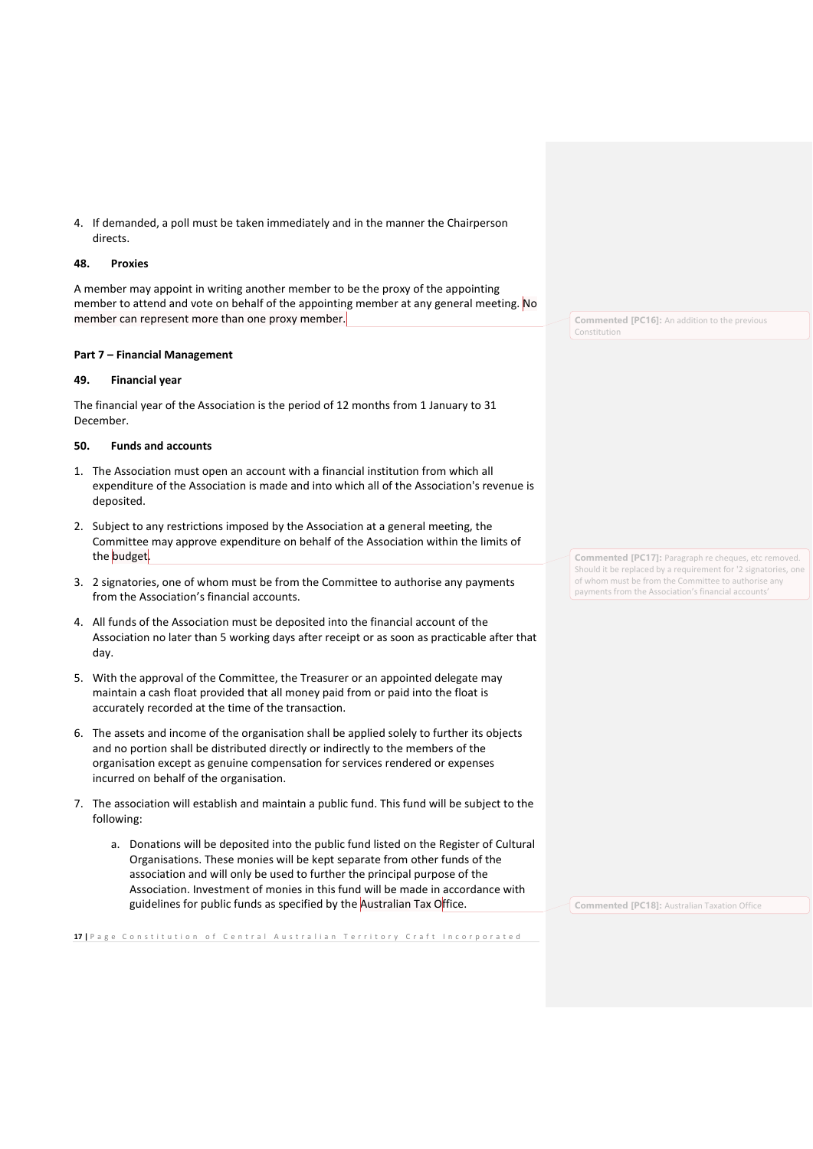4. If demanded, a poll must be taken immediately and in the manner the Chairperson directs.

#### <span id="page-16-0"></span>**48. Proxies**

A member may appoint in writing another member to be the proxy of the appointing member to attend and vote on behalf of the appointing member at any general meeting. No member can represent more than one proxy member.

### <span id="page-16-1"></span>**Part 7 – Financial Management**

### <span id="page-16-2"></span>**49. Financial year**

The financial year of the Association is the period of 12 months from 1 January to 31 December.

## <span id="page-16-3"></span>**50. Funds and accounts**

- 1. The Association must open an account with a financial institution from which all expenditure of the Association is made and into which all of the Association's revenue is deposited.
- 2. Subject to any restrictions imposed by the Association at a general meeting, the Committee may approve expenditure on behalf of the Association within the limits of the budget.
- 3. 2 signatories, one of whom must be from the Committee to authorise any payments from the Association's financial accounts.
- 4. All funds of the Association must be deposited into the financial account of the Association no later than 5 working days after receipt or as soon as practicable after that day.
- 5. With the approval of the Committee, the Treasurer or an appointed delegate may maintain a cash float provided that all money paid from or paid into the float is accurately recorded at the time of the transaction.
- 6. The assets and income of the organisation shall be applied solely to further its objects and no portion shall be distributed directly or indirectly to the members of the organisation except as genuine compensation for services rendered or expenses incurred on behalf of the organisation.
- 7. The association will establish and maintain a public fund. This fund will be subject to the following:
	- a. Donations will be deposited into the public fund listed on the Register of Cultural Organisations. These monies will be kept separate from other funds of the association and will only be used to further the principal purpose of the Association. Investment of monies in this fund will be made in accordance with guidelines for public funds as specified by the Australian Tax Office.

17 | P a g e C on stitution of Central Australian Territory Craft Incorporated

**Commented [PC16]:** An addition to the previous Constitution

**Commented [PC17]:** Paragraph re cheques, etc removed. Should it be replaced by a requirement for '2 signatories, one of whom must be from the Committee to authorise any payments from the Association's financial accounts'

**Commented [PC18]:** Australian Taxation Office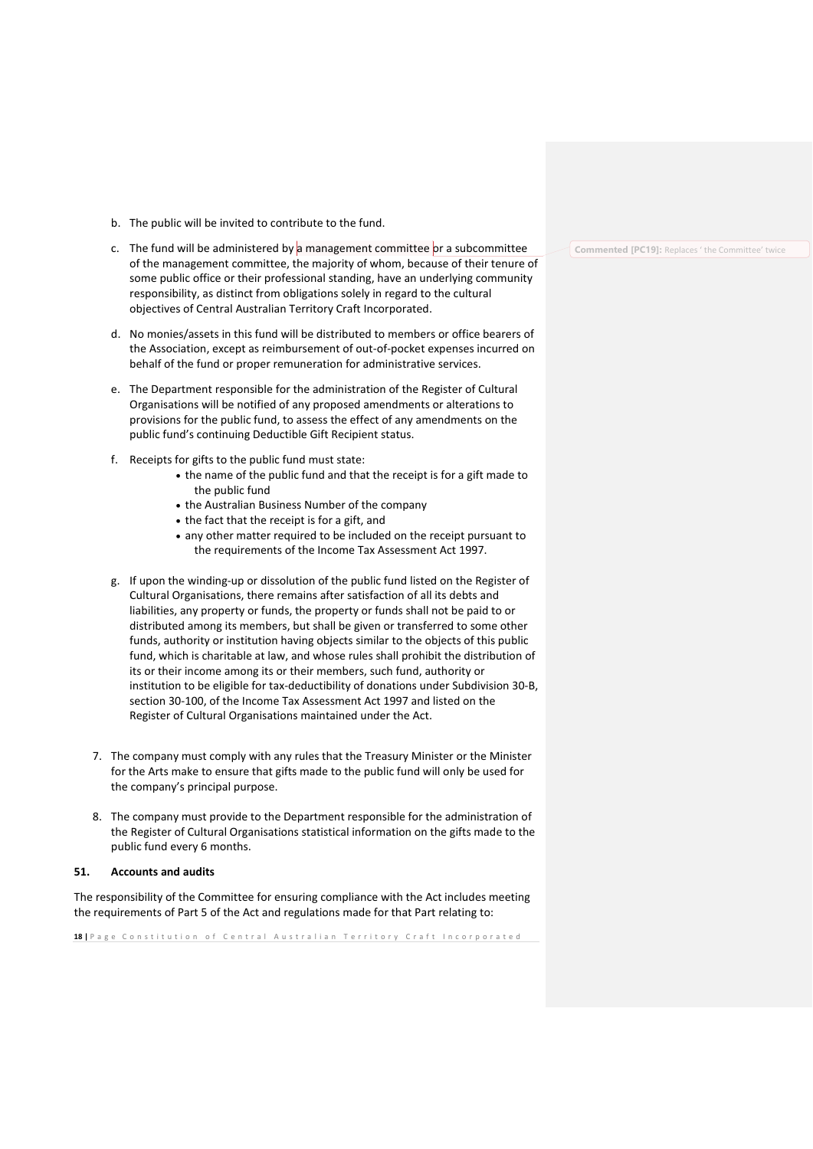- b. The public will be invited to contribute to the fund.
- c. The fund will be administered by a management committee or a subcommittee of the management committee, the majority of whom, because of their tenure of some public office or their professional standing, have an underlying community responsibility, as distinct from obligations solely in regard to the cultural objectives of Central Australian Territory Craft Incorporated.
- d. No monies/assets in this fund will be distributed to members or office bearers of the Association, except as reimbursement of out-of-pocket expenses incurred on behalf of the fund or proper remuneration for administrative services.
- e. The Department responsible for the administration of the Register of Cultural Organisations will be notified of any proposed amendments or alterations to provisions for the public fund, to assess the effect of any amendments on the public fund's continuing Deductible Gift Recipient status.
- f. Receipts for gifts to the public fund must state:
	- the name of the public fund and that the receipt is for a gift made to the public fund
	- the Australian Business Number of the company
	- the fact that the receipt is for a gift, and
	- any other matter required to be included on the receipt pursuant to the requirements of the Income Tax Assessment Act 1997.
- g. If upon the winding-up or dissolution of the public fund listed on the Register of Cultural Organisations, there remains after satisfaction of all its debts and liabilities, any property or funds, the property or funds shall not be paid to or distributed among its members, but shall be given or transferred to some other funds, authority or institution having objects similar to the objects of this public fund, which is charitable at law, and whose rules shall prohibit the distribution of its or their income among its or their members, such fund, authority or institution to be eligible for tax-deductibility of donations under Subdivision 30-B, section 30-100, of the Income Tax Assessment Act 1997 and listed on the Register of Cultural Organisations maintained under the Act.
- 7. The company must comply with any rules that the Treasury Minister or the Minister for the Arts make to ensure that gifts made to the public fund will only be used for the company's principal purpose.
- 8. The company must provide to the Department responsible for the administration of the Register of Cultural Organisations statistical information on the gifts made to the public fund every 6 months.

## <span id="page-17-0"></span>**51. Accounts and audits**

The responsibility of the Committee for ensuring compliance with the Act includes meeting the requirements of Part 5 of the Act and regulations made for that Part relating to:

**18** | Page Constitution of Central Australian Territory Craft Incorporated

**Commented [PC19]:** Replaces ' the Committee' twice